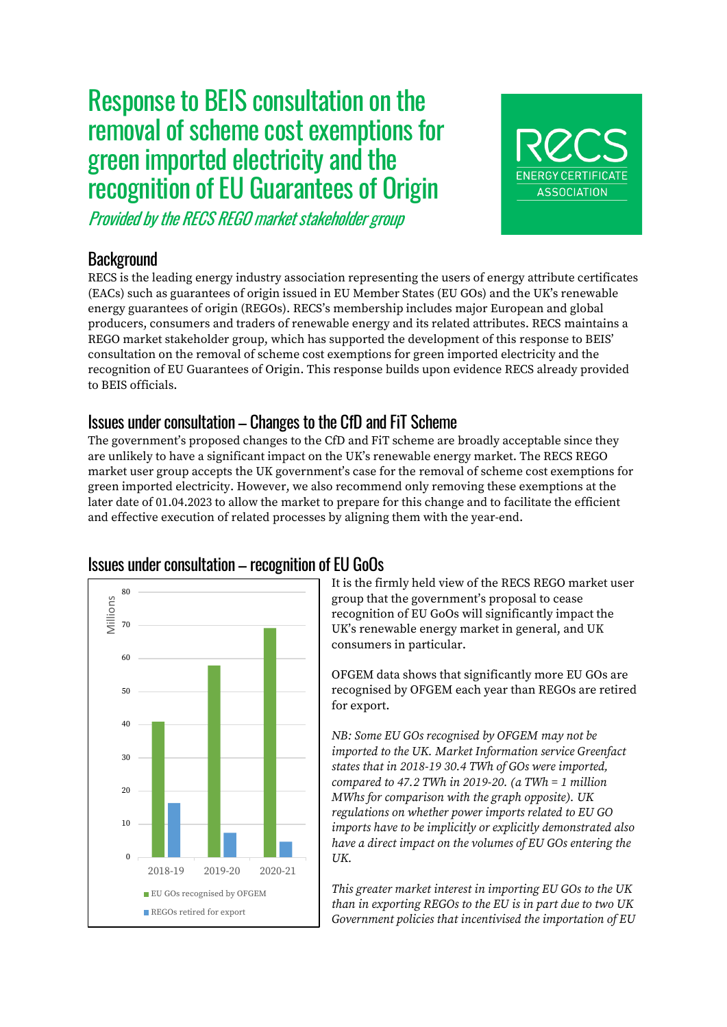# Response to BEIS consultation on the removal of scheme cost exemptions for green imported electricity and the recognition of EU Guarantees of Origin

Provided by the RECS REGO market stakeholder group

## **Background**

RECS is the leading energy industry association representing the users of energy attribute certificates (EACs) such as guarantees of origin issued in EU Member States (EU GOs) and the UK's renewable energy guarantees of origin (REGOs). RECS's membership includes major European and global producers, consumers and traders of renewable energy and its related attributes. RECS maintains a REGO market stakeholder group, which has supported the development of this response to BEIS' consultation on the removal of scheme cost exemptions for green imported electricity and the recognition of EU Guarantees of Origin. This response builds upon evidence RECS already provided to BEIS officials.

## Issues under consultation – Changes to the CfD and FiT Scheme

The government's proposed changes to the CfD and FiT scheme are broadly acceptable since they are unlikely to have a significant impact on the UK's renewable energy market. The RECS REGO market user group accepts the UK government's case for the removal of scheme cost exemptions for green imported electricity. However, we also recommend only removing these exemptions at the later date of 01.04.2023 to allow the market to prepare for this change and to facilitate the efficient and effective execution of related processes by aligning them with the year-end.



It is the firmly held view of the RECS REGO market user group that the government's proposal to cease recognition of EU GoOs will significantly impact the UK's renewable energy market in general, and UK consumers in particular.

**ENERGY CERTIFICATE ASSOCIATION** 

OFGEM data shows that significantly more EU GOs are recognised by OFGEM each year than REGOs are retired for export.

*NB: Some EU GOs recognised by OFGEM may not be imported to the UK. Market Information service Greenfact states that in 2018-19 30.4 TWh of GOs were imported, compared to 47.2 TWh in 2019-20. (a TWh = 1 million MWhs for comparison with the graph opposite). UK regulations on whether power imports related to EU GO imports have to be implicitly or explicitly demonstrated also have a direct impact on the volumes of EU GOs entering the UK.* 

*This greater market interest in importing EU GOs to the UK than in exporting REGOs to the EU is in part due to two UK Government policies that incentivised the importation of EU*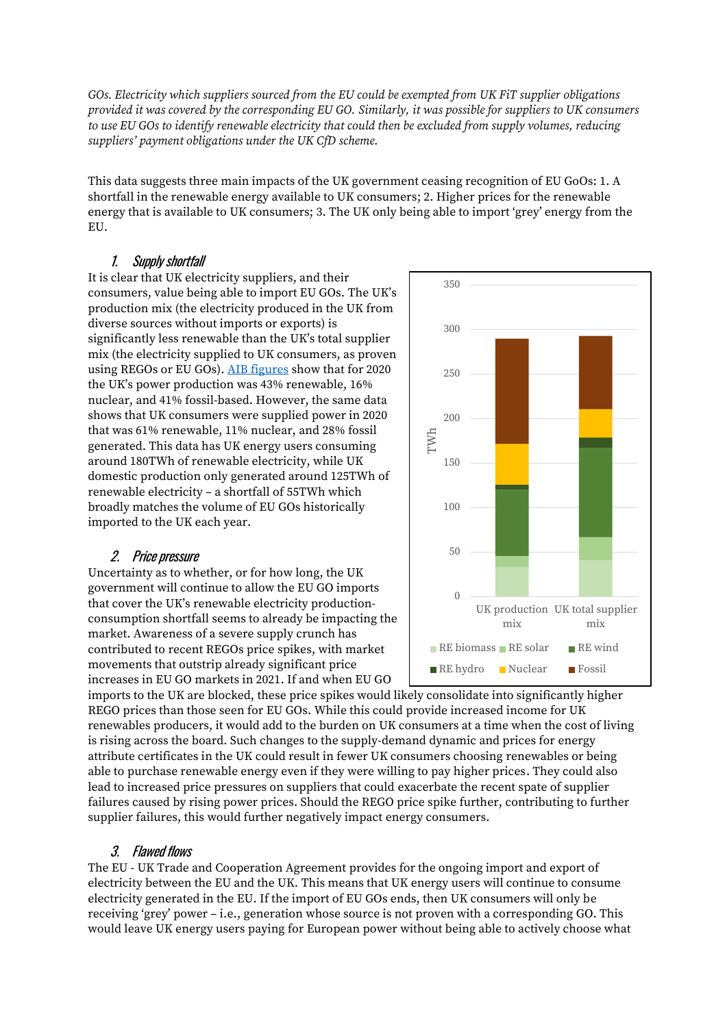*GOs. Electricity which suppliers sourced from the EU could be exempted from UK FiT supplier obligations provided it was covered by the corresponding EU GO. Similarly, it was possible for suppliers to UK consumers to use EU GOs to identify renewable electricity that could then be excluded from supply volumes, reducing suppliers' payment obligations under the UK CfD scheme.* 

This data suggests three main impacts of the UK government ceasing recognition of EU GoOs: 1. A shortfall in the renewable energy available to UK consumers; 2. Higher prices for the renewable energy that is available to UK consumers; 3. The UK only being able to import 'grey' energy from the EU.

#### 1. Supply shortfall

It is clear that UK electricity suppliers, and their consumers, value being able to import EU GOs. The UK's production mix (the electricity produced in the UK from diverse sources without imports or exports) is significantly less renewable than the UK's total supplier mix (the electricity supplied to UK consumers, as proven using REGOs or EU GOs). [AIB figures](https://www.aib-net.org/facts/european-residual-mix) show that for 2020 the UK's power production was 43% renewable, 16% nuclear, and 41% fossil-based. However, the same data shows that UK consumers were supplied power in 2020 that was 61% renewable, 11% nuclear, and 28% fossil generated. This data has UK energy users consuming around 180TWh of renewable electricity, while UK domestic production only generated around 125TWh of renewable electricity – a shortfall of 55TWh which broadly matches the volume of EU GOs historically imported to the UK each year.

### 2. Price pressure

Uncertainty as to whether, or for how long, the UK government will continue to allow the EU GO imports that cover the UK's renewable electricity productionconsumption shortfall seems to already be impacting the market. Awareness of a severe supply crunch has contributed to recent REGOs price spikes, with market movements that outstrip already significant price increases in EU GO markets in 2021. If and when EU GO



imports to the UK are blocked, these price spikes would likely consolidate into significantly higher REGO prices than those seen for EU GOs. While this could provide increased income for UK renewables producers, it would add to the burden on UK consumers at a time when the cost of living is rising across the board. Such changes to the supply-demand dynamic and prices for energy attribute certificates in the UK could result in fewer UK consumers choosing renewables or being able to purchase renewable energy even if they were willing to pay higher prices. They could also lead to increased price pressures on suppliers that could exacerbate the recent spate of supplier failures caused by rising power prices. Should the REGO price spike further, contributing to further supplier failures, this would further negatively impact energy consumers.

### 3. Flawed flows

The EU - UK Trade and Cooperation Agreement provides for the ongoing import and export of electricity between the EU and the UK. This means that UK energy users will continue to consume electricity generated in the EU. If the import of EU GOs ends, then UK consumers will only be receiving 'grey' power – i.e., generation whose source is not proven with a corresponding GO. This would leave UK energy users paying for European power without being able to actively choose what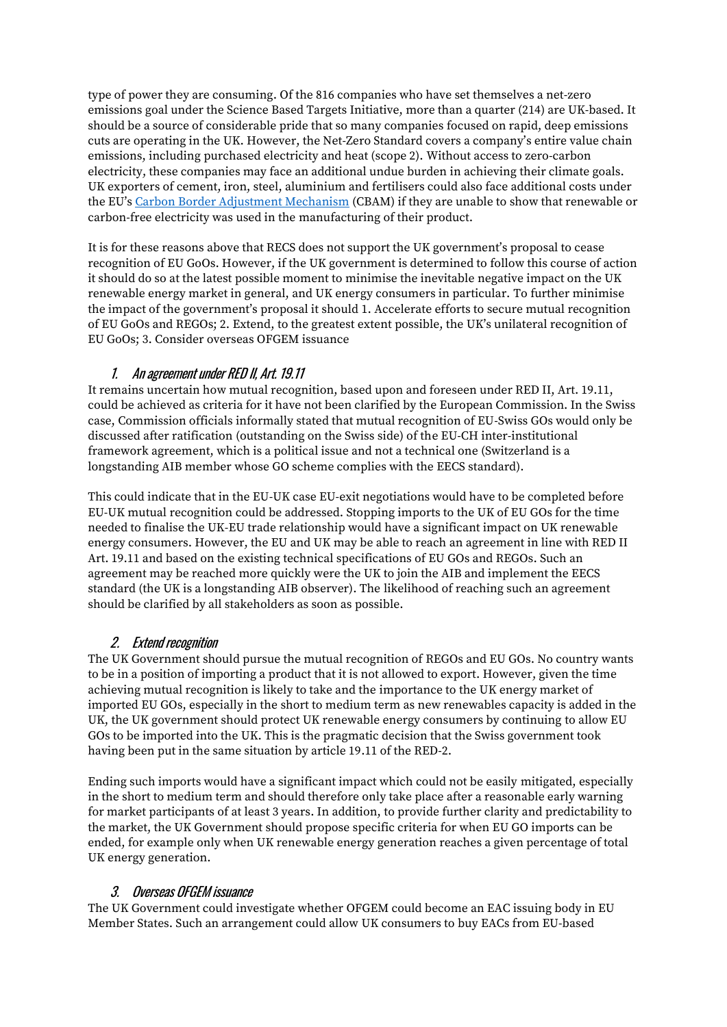type of power they are consuming. Of the 816 companies who have set themselves a net-zero emissions goal under the Science Based Targets Initiative, more than a quarter (214) are UK-based. It should be a source of considerable pride that so many companies focused on rapid, deep emissions cuts are operating in the UK. However, the Net-Zero Standard covers a company's entire value chain emissions, including purchased electricity and heat (scope 2). Without access to zero-carbon electricity, these companies may face an additional undue burden in achieving their climate goals. UK exporters of cement, iron, steel, aluminium and fertilisers could also face additional costs under the EU's [Carbon Border Adjustment Mechanism](https://ec.europa.eu/commission/presscorner/detail/en/qanda_21_3661) (CBAM) if they are unable to show that renewable or carbon-free electricity was used in the manufacturing of their product.

It is for these reasons above that RECS does not support the UK government's proposal to cease recognition of EU GoOs. However, if the UK government is determined to follow this course of action it should do so at the latest possible moment to minimise the inevitable negative impact on the UK renewable energy market in general, and UK energy consumers in particular. To further minimise the impact of the government's proposal it should 1. Accelerate efforts to secure mutual recognition of EU GoOs and REGOs; 2. Extend, to the greatest extent possible, the UK's unilateral recognition of EU GoOs; 3. Consider overseas OFGEM issuance

#### 1. An agreement under RED II, Art. 19.11

It remains uncertain how mutual recognition, based upon and foreseen under RED II, Art. 19.11, could be achieved as criteria for it have not been clarified by the European Commission. In the Swiss case, Commission officials informally stated that mutual recognition of EU-Swiss GOs would only be discussed after ratification (outstanding on the Swiss side) of the EU-CH inter-institutional framework agreement, which is a political issue and not a technical one (Switzerland is a longstanding AIB member whose GO scheme complies with the EECS standard).

This could indicate that in the EU-UK case EU-exit negotiations would have to be completed before EU-UK mutual recognition could be addressed. Stopping imports to the UK of EU GOs for the time needed to finalise the UK-EU trade relationship would have a significant impact on UK renewable energy consumers. However, the EU and UK may be able to reach an agreement in line with RED II Art. 19.11 and based on the existing technical specifications of EU GOs and REGOs. Such an agreement may be reached more quickly were the UK to join the AIB and implement the EECS standard (the UK is a longstanding AIB observer). The likelihood of reaching such an agreement should be clarified by all stakeholders as soon as possible.

### 2. Extend recognition

The UK Government should pursue the mutual recognition of REGOs and EU GOs. No country wants to be in a position of importing a product that it is not allowed to export. However, given the time achieving mutual recognition is likely to take and the importance to the UK energy market of imported EU GOs, especially in the short to medium term as new renewables capacity is added in the UK, the UK government should protect UK renewable energy consumers by continuing to allow EU GOs to be imported into the UK. This is the pragmatic decision that the Swiss government took having been put in the same situation by article 19.11 of the RED-2.

Ending such imports would have a significant impact which could not be easily mitigated, especially in the short to medium term and should therefore only take place after a reasonable early warning for market participants of at least 3 years. In addition, to provide further clarity and predictability to the market, the UK Government should propose specific criteria for when EU GO imports can be ended, for example only when UK renewable energy generation reaches a given percentage of total UK energy generation.

#### 3. Overseas OFGEM issuance

The UK Government could investigate whether OFGEM could become an EAC issuing body in EU Member States. Such an arrangement could allow UK consumers to buy EACs from EU-based